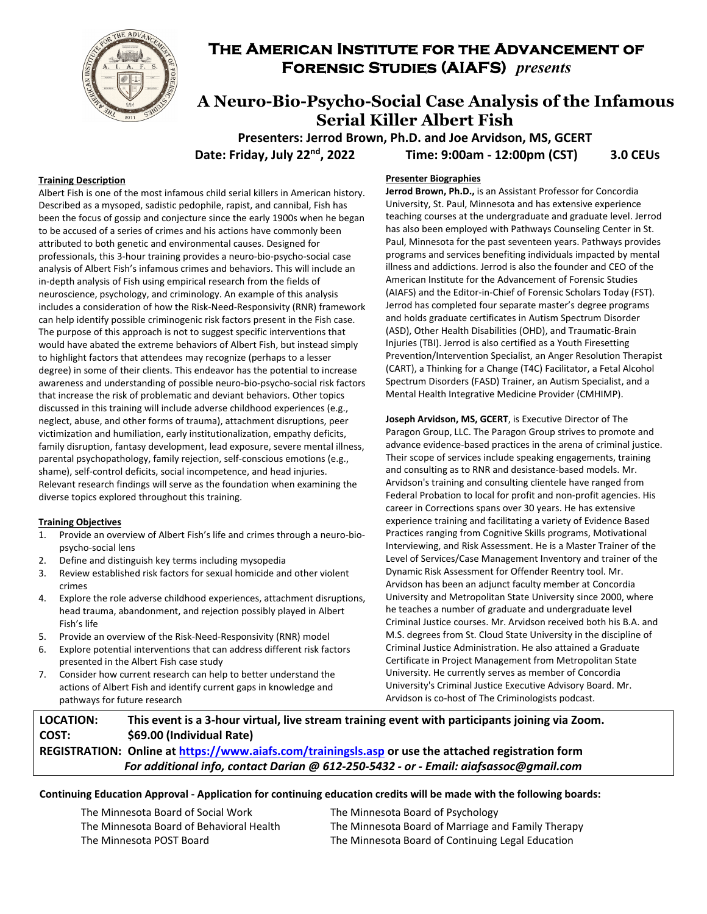

## **The American Institute for the Advancement of Forensic Studies (AIAFS)** *presents*

## **A Neuro-Bio-Psycho-Social Case Analysis of the Infamous Serial Killer Albert Fish**

 **Presenters: Jerrod Brown, Ph.D. and Joe Arvidson, MS, GCERT Date: Friday, July 22nd, 2022 Time: 9:00am ‐ 12:00pm (CST) 3.0 CEUs**

#### **Training Description**

Albert Fish is one of the most infamous child serial killers in American history. Described as a mysoped, sadistic pedophile, rapist, and cannibal, Fish has been the focus of gossip and conjecture since the early 1900s when he began to be accused of a series of crimes and his actions have commonly been attributed to both genetic and environmental causes. Designed for professionals, this 3‐hour training provides a neuro‐bio‐psycho‐social case analysis of Albert Fish's infamous crimes and behaviors. This will include an in‐depth analysis of Fish using empirical research from the fields of neuroscience, psychology, and criminology. An example of this analysis includes a consideration of how the Risk‐Need‐Responsivity (RNR) framework can help identify possible criminogenic risk factors present in the Fish case. The purpose of this approach is not to suggest specific interventions that would have abated the extreme behaviors of Albert Fish, but instead simply to highlight factors that attendees may recognize (perhaps to a lesser degree) in some of their clients. This endeavor has the potential to increase awareness and understanding of possible neuro‐bio‐psycho‐social risk factors that increase the risk of problematic and deviant behaviors. Other topics discussed in this training will include adverse childhood experiences (e.g., neglect, abuse, and other forms of trauma), attachment disruptions, peer victimization and humiliation, early institutionalization, empathy deficits, family disruption, fantasy development, lead exposure, severe mental illness, parental psychopathology, family rejection, self‐conscious emotions (e.g., shame), self-control deficits, social incompetence, and head injuries. Relevant research findings will serve as the foundation when examining the diverse topics explored throughout this training.

#### **Training Objectives**

- 1. Provide an overview of Albert Fish's life and crimes through a neuro‐bio‐ psycho‐social lens
- 2. Define and distinguish key terms including mysopedia
- 3. Review established risk factors for sexual homicide and other violent crimes
- 4. Explore the role adverse childhood experiences, attachment disruptions, head trauma, abandonment, and rejection possibly played in Albert Fish's life
- 5. Provide an overview of the Risk‐Need‐Responsivity (RNR) model
- 6. Explore potential interventions that can address different risk factors presented in the Albert Fish case study
- 7. Consider how current research can help to better understand the actions of Albert Fish and identify current gaps in knowledge and pathways for future research

#### **Presenter Biographies**

**Jerrod Brown, Ph.D.,** is an Assistant Professor for Concordia University, St. Paul, Minnesota and has extensive experience teaching courses at the undergraduate and graduate level. Jerrod has also been employed with Pathways Counseling Center in St. Paul, Minnesota for the past seventeen years. Pathways provides programs and services benefiting individuals impacted by mental illness and addictions. Jerrod is also the founder and CEO of the American Institute for the Advancement of Forensic Studies (AIAFS) and the Editor‐in‐Chief of Forensic Scholars Today (FST). Jerrod has completed four separate master's degree programs and holds graduate certificates in Autism Spectrum Disorder (ASD), Other Health Disabilities (OHD), and Traumatic‐Brain Injuries (TBI). Jerrod is also certified as a Youth Firesetting Prevention/Intervention Specialist, an Anger Resolution Therapist (CART), a Thinking for a Change (T4C) Facilitator, a Fetal Alcohol Spectrum Disorders (FASD) Trainer, an Autism Specialist, and a Mental Health Integrative Medicine Provider (CMHIMP).

**Joseph Arvidson, MS, GCERT**, is Executive Director of The Paragon Group, LLC. The Paragon Group strives to promote and advance evidence‐based practices in the arena of criminal justice. Their scope of services include speaking engagements, training and consulting as to RNR and desistance‐based models. Mr. Arvidson's training and consulting clientele have ranged from Federal Probation to local for profit and non‐profit agencies. His career in Corrections spans over 30 years. He has extensive experience training and facilitating a variety of Evidence Based Practices ranging from Cognitive Skills programs, Motivational Interviewing, and Risk Assessment. He is a Master Trainer of the Level of Services/Case Management Inventory and trainer of the Dynamic Risk Assessment for Offender Reentry tool. Mr. Arvidson has been an adjunct faculty member at Concordia University and Metropolitan State University since 2000, where he teaches a number of graduate and undergraduate level Criminal Justice courses. Mr. Arvidson received both his B.A. and M.S. degrees from St. Cloud State University in the discipline of Criminal Justice Administration. He also attained a Graduate Certificate in Project Management from Metropolitan State University. He currently serves as member of Concordia University's Criminal Justice Executive Advisory Board. Mr. Arvidson is co‐host of The Criminologists podcast.

### LOCATION: This event is a 3-hour virtual, live stream training event with participants joining via Zoom. **COST: \$69.00 (Individual Rate)**

**REGISTRATION:****Online at https://www.aiafs.com/trainingsls.asp or use the attached registration form** *For additional info, contact Darian @ 612‐250‐5432 ‐ or ‐ Email: aiafsassoc@gmail.com*

#### Continuing Education Approval - Application for continuing education credits will be made with the following boards:

The Minnesota Board of Social Work The Minnesota Board of Psychology

The Minnesota Board of Behavioral Health The Minnesota Board of Marriage and Family Therapy The Minnesota POST Board The Minnesota Board of Continuing Legal Education